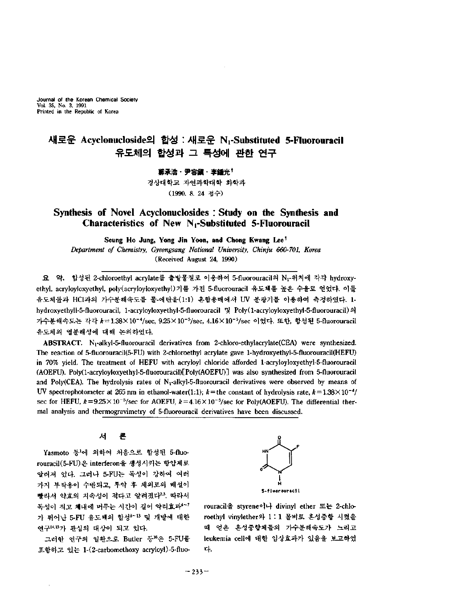Journal of the Korean Chemical Society Vol. 35, No. 3, 1991 Printed in the Republic of Korea

# 새로운 **Acyclonucloside** 합성 : 새로운 **Ni-Substituted 5-Fluorouracil** 유도체의 합성과 특성에 관한 연구

<u>第承浩・尹容鎭・李鍾光†</u> 경상대학교 자연과학대학 화학과 (1990. 8. 24 접수)

# **Synthesis of Novel Acyclonuclosides : Study on the Synthesis and Characteristics of New Ni-Substituted 5-Fluorouracil**

**Seung Ho Jung, Yong Jin Yoon, and Chong Kwang Lee\*** *Department of Chemistry, Gyeongsang National University, Chinju 660-701, Korea* (Received August 24, 1990)

요 약. 합성된 2-chloroethyl acrylate를 출발물질로 이용하여 5-fluorouracil의 Nr-위치에 각각 hydroxyethyl, acryloyloxyethyl, poly(acryloyk)xyethyl) 기를 가진 5-fluorouracil 유도체를 높은 수율로 얻었다. 이들 유도체들과 HCl과의 가수분해속도를 물-에탄올(1:1) 혼합용매에서 UV 분광기를 이용하여 측정하였다. 1hydroxyethyll-5-fluorouracil, 1-acryloyloxyethyl-5-fluorouracil 및 Poly(1-acryloyloxyethyl-5-fluorouracil)의 가수분해속도는 각각 k=1.38×10<sup>-4</sup>/sec, 9.25×10<sup>-5</sup>/sec, 4.16×10<sup>-5</sup>/sec 이었다. 또한, 합성된 5-fluorouracil 유도체의 열분해성에 대해 논의하였다.

ABSTRACT. N<sub>1</sub>-alkyl-5-fluorouracil derivatives from 2-chloro-ethylacrylate(CEA) were synthesized. The reaction of 5-fluorouracil(5-FU) with 2-chloroethyl acrylate gave l-hydroxyethyl-5-fluorouracil(HEFU) in 70% yield. The treatment of HEFU with acryloyl chloride afforded l-acryloyloxyethyl-5-fluorouracil (AOEFU). Poly(l-acryloyloxyethyl-5-fluorouracil)[Poly(AOEFU)] was also synthesized from 5-fluorouracil and Poly(CEA). The hydrolysis rates of N<sub>1</sub>-alkyl-5-fluorouracil derivatives were observed by means of UV spectrophotometer at 265 nm in ethanol-water(1:1);  $k =$  the constant of hydrolysis rate,  $k = 1.38 \times 10^{-4}$ / sec for HEFU,  $k=9.25\times 10^{-5}/\text{sec}$  for AOEFU,  $k=4.16\times 10^{-5}/\text{sec}$  for Poly(AOEFU). The differential thermal analysis and thermogravimetry of 5-fluorouracil derivatives have been discussed.

> 서 론

Yasmoto 등1에 의하여 처음으로 합성된 5-fluorouracil(5-FU)은 interferon을 생성시키는 항암제로 알려져 있다. 그러나 5-FU는 독성이 강하여 여러 가지 부작용이 수반되고, 투약 체외로의 배설이 빨라서 약효의 지속성이 적다고 알려졌다<sup>23</sup>. 따라서 독성이 적고 체내에 머무는 시간이 길어 약리효과4〜? 가 뛰어난 5-FU 유도체의 합성\*<sup>-13</sup> 및 개발에 대한 연구14,15 관심의 대상이 되고 있다.

그러한 연구의 일환으로 Butler 등"은 5-FU를 포함하고 있는 l-(2-carbomethoxy acryloyl)-5-fluo-



rouracil styrene이나 divinyl ether 또는 2-chloroethyl vinylether <sup>1</sup> : 1 몰비로 혼성중합 시켰을 얻은 혼성중합체들의 가수분해속도가 느리고 leukemia cell에 대한 임상효과가 있음을 보고하였 다.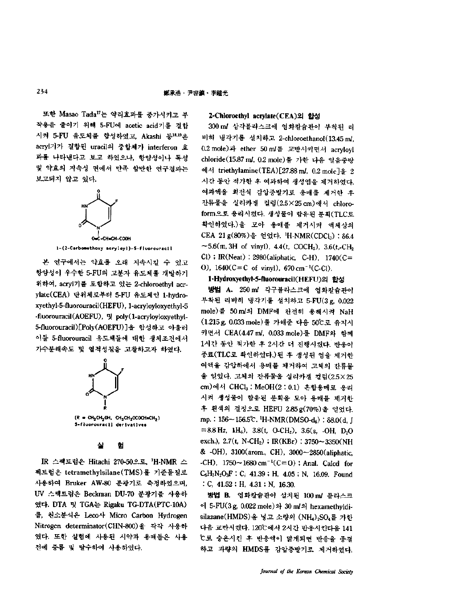또한 Masao Tada<sup>17</sup>는 약리효과를 중가시키고 부 작용을 줄이기 위해 5-FU에 acetic acid기를 결합 시켜 5-FU 유도체를 합성하였고, Akashi 등18.19은 acryl기가 결합된 uracil의 중합체가 interferon 효 과를 나타낸다고 보고 하였으나, 항암성이나 독성 약효의 지속성 면에서 만족 할만한 연구결과는 보고되지 않고 있다.



#### **l-(2-Carbom«thoxy acryloyl)-5-fluorourac11**

본 연구에서는 약효를 오래 지속시킬 수 있고 항암성이 우수한 5-FU의 고분자 유도체를 개발하기 위하여, aci끼기를 포함하고 있는 2-chloroethyl acrylate(CEA) 단위체로부터 5-FU 유도체인 1-hydroxyethyl-5-fluorouracil(HEFU), l-acryloyloxyethyl-5 -fluorouracil(AOEFU), 및 poly(1-acryloyloxyethyl-5-fluorouracil)[Poly(AOEFU)] 합성하고 아울러 이들 5-fluorouracil 유도체들에 대한 생체조건에서 가수분해속도 열적성질을 고찰하고자 하였다. EFU), 및 pol<br>oly(AOEFU)<br>cil 유도체들**\***<br>열적성질을<br>- A



**(R -** ch2ch2oh, ch2ch2ococh»ch2) **5-fiuorouracil derivatives**

IR 스펙트럼은 Hitachi 270-50으로, 'H-NMR 스 펙트럼은 tetramethylsilane(TMS)-f- 기준물질로 사용하여 Bruker AW-80 분광기로 측정하였으며, UV 스펙트럼은 Beckman DU-70 분광기를 사용하 였다. DTA 및 TGA는 Rigaku TG-DTA(PTC-10A) 름, 원소분석은 Leco사 Micro Carbon Hydrogen Nitrogen determinator(CHN-800) 각각 사용하 였다. 또한 실험에 사용된 시약과 용매들은 사용 전에 증류 탈수하여 사용하였다.

# **2-Chloroethyl acrylate(CEA)** 합성

300 m/ 삼각플라스크에 염화칼슘관이 부착된 냉각기를 설치하고 2-chloroethanol( 13.45 *ml,* 0.2 mole)과 ether 50 m/를 교반시키면서 acryloyl chloride(15.87 *ml,* Q2mole) 가한 다음 얼음중탕 에서 triethylamine(TEA)[27.88 ml, 0.2 mole]을 2 시간 동안 적가한 여과하여 생성염을 제거하였다. 여과액을 회전식 감압증발기로 용매를 제거한 잔류물을 실리카겔 컬럼(2.5×25 cm)에서 chloroform으로 용리시켰다. 생성물이 함유된 분획 (TLC 확인하였다.) 모아 용매를 제거시켜 액체상의 CEA 21g(80%)을 얻었다. 'H-NMR(CDCl3): 86.4  $-5.6(m, 3H$  of vinyl), 4.4(t, COCH<sub>2</sub>), 3.6(t,-CH<sub>2</sub>  $Cl$ ) : IR(Neat) : 2980(aliphatic, C-H), 1740(C= 0),  $1640(C=C \text{ of } viny)$ ,  $670 \text{ cm}^{-1}(C-C)$ .

## **l-Hydroxyethyl-5-fluorouracil(HEFU)** 합성

방법 **A.** 250 m/ 각구플라스크에 염화칼슘관이 부착된 리비히 냉각기를 설치하고 5-FU(3g, 0.022 mole)를 50 ml의 DMF에 완전히 용해시켜 NaH (1.215 g, 0.033 mole)를 가해준 다음 50℃로 유지시 면서 CEA(4.47 *ml,* 0.033 mole) DMF 함께 1시간 동안 적가한 2시간 진행시켰다 반응이 종료(TLC로 확인하였다.) 된 후 생성된 염을 제거한 여액을 감압하에서 용매를 제거하여 고체의 잔류물 얻었다. 고체의 잔류물을 실리카겔 컬럼(2.5X25 cm)에서 CHC1<sup>3</sup> : MeOH(2 : 0.1) 혼합용매로 용리 시켜 생성물이 함유된 분획을 모아 용매를 제거한 후 흰색의 결정으로 HEFU 2.85 g(70%)을 얻었다. mp. :  $156 - 156.5$ °C. 'H-NMR(DMSO-d<sub>6</sub>) :  $\delta 8.0(d, J)$  $=8.8$  Hz,  $1H_6$ ),  $3.8(t, O-CH_2)$ ,  $3.6(s, -OH, D_2O)$ exch.),  $2.7(t, N\text{-}CH_2)$ ;  $IR(KBr)$ : 3750~3350(NH  $&$  -OH), 3100(arom., CH), 3000 $\sim$ 2850(aliphatic, -CH),  $1750 \sim 1680$  cm<sup>-1</sup>(C=O) ; Anal. Calcd for  $C_6H_7N_2O_3F$ : C, 41.39; H, 4.05; N, 16.09. Found : C,  $41.52$  ; H,  $4.31$  ; N, 16.30.

방법 **B.** 염화칼슘관이 설치된 100m/ 플라스크 에 5-FU(3 g, 0.022 mole) 와 30 m/의 hexamethyldisilazane(HMDS)을 넣고 소량의 (NH4) SO4를 가한 다음 교반시켰다. 120℃에서 2시간 반응시킨다음 141 t 승온시킨 반응액이 맑게되면 반응을 종결 하고 과량의 HMDS를 감압중발기로 제거하였다.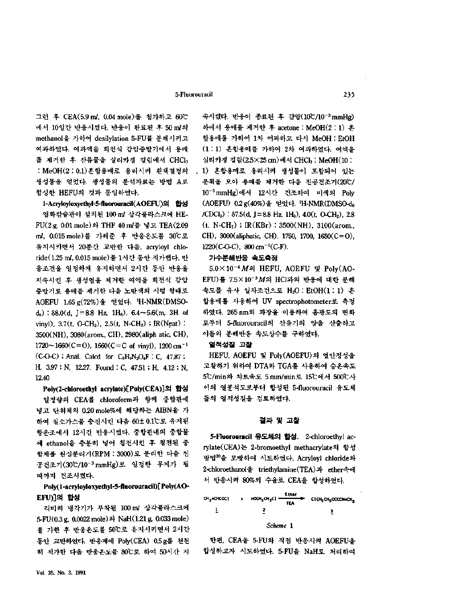#### 5-Fluorouracil 235

그런 후 CEA(5.9 m/, 0.04 mole)를 첨가하고 60℃ 에서 10일간 반응시켰다. 반응이 완료된 후 50 m/의 methanol을 가하여 desilylation 5-FU를 분해시키고 여과하였다. 여과액을 회전식 감압증발기에서 용매 를 제거한 후 잔류물을 실리카겔 컬럼에서 CHCls : MeOH(2:0.1)혼합용매로 용리시켜 흰색결정의 생성물을 얻었다. 생성물의 분석자료는 방법 A 합성한 HEFU의 것과 동일하였다.

**l-Acryloyloxyethyl-5-fhiorouracil(AOEFU)** 합성 화칼슘관이 설치된 100 m2 삼각플라스크에 HE-FU(2g, 0.01 mole) THF 40 m/ *넣고* TEAC2.09 ml, 0.015 mole)를 가해준 후 반응온도를 30°C로 유지시키면서 20분간 교반한 다음, acryloyl chloride(1.25 ml, 0.015 mole) 률 1시간 동안 적가했다. 반 응조건을 일정하게 유지하면서 2시간 동안 반응을 지속시킨 생성염을 제거한 여액을 회전식 감압 증발기로 용매를 제거한 다음 노란색의 시럽 형태로 AOEFU 1.65 g(72%)을 얻었다. 'H-NMR(DMSO $d_6$ ) : 88.0(d, J=8.8 Hz, 1H<sub>6</sub>), 6.4~5.6(m, 3H of vinyl),  $3.7(t, O\text{-CH}_2)$ ,  $2.5(t, N\text{-CH}_2)$ ; IR(Neat): 3500(NH), 3080(arom., CH), 2980(aliph atic, CH),  $1720 \sim 1660(C=0)$ ,  $1660(C=C \text{ of } vinyl)$ ,  $1200 \text{ cm}^{-1}$  $(C-O-C)$ ; Anal. Calcd for  $C<sub>9</sub>H<sub>9</sub>N<sub>2</sub>O<sub>4</sub>F$ : C, 47.87; H, 3.97; N, 12.27. Found : C, 47.51; H, 4.12; N, 12.40

**Poly(2-chloroethyl acrylate)[Poly(CEA)]** 합성 일정량의 CEA를 chloroform과 함께 중합관에 넣고 단위체의 0.20 mole%에 해당하는 AIBN을 가 하여 질소가스를 충진시킨 다음 60± 0.1℃로 유지된 항온조에서 12시간 반응시켰다. 중합관내의 중합물 에 ethanol을 충분히 넣어 침전시킨 후 침전된 중 합체를 원심분리기(RPM : 3000)로 분리한 다음 진 공건조기(30℃/10<sup>-3</sup> mmHg)로 일정한 무게가 될 때까지 건조시켰다.

**Poly(l-acryloyloxyethyl-5-fluorouracil)[Poly(AO-EFU)]** 합성

리비히 냉각기가 부착된 100 m2 삼각플라스크에 5-FU(0.3g, 0.0022 mole) NaH( 1.21g, 0.033 mole) 를 가한 후 반응온도를 50℃로 유지시키면서 2시간 동안 교반하였다. 반응계에 Poly(CEA) 0.5 g를 천천 히 적가한 다음 반응온도를 80℃로 하여 50시간 지

속시켰다. 반응이 종료된 후 감압(10℃/10<sup>-3</sup> mmHg) 하에서 용매를 제거한 후 acetone : MeOH(2 : 1) 혼 합용매를 가하여 1차 여과하고 다시 MeOH : EtOH (1:1) 혼합용매를 가하여 2차 여과하였다. 여액을 실리카겔 컬럼(2.5X25cm)에서 CHC13: MeOH(10 : 1) 혼합용매로 용리시켜 생성물이 포함되어 있는 분획을 모아 용매를 제거한 다음 진공건조기(20℃/ 10<sup>-3</sup> mmHg)에서 12시간 건조하여 미색의 Poly (AOEFU) 0.2 g(40%)을 얻었다. 'H-NMR(DMSO-ds  $/CDCI_3$ ) : 87.5(d, J=8.8 Hz, 1H<sub>8</sub>), 4.0(t, O-CH<sub>2</sub>), 2.8  $(t, N\text{-}CH_2)$ ; IR(KBr) : 3500(NH), 3100(arom., CH), 3000(aliphatic, CH), 1750, 1700, 1650(C=O),  $1220(C-O-C)$ ,  $800 \text{ cm}^{-1}(C-F)$ .

# 가수분해반응 속도측정

 $5.0 \times 10^{-4}$  M<sup>2</sup> HEFU, AOEFU 및 Poly(AO-EFU) 7.5X10-3M HC1과의 반응에 대한 분해 속도를 유사 일차조건으로 H2O : EtOH(1:1) 혼 합용매를 사용하여 UV spectrophotometer로 측정 하였다. 265 nm의 과장을 이용하여 흡광도의 변화 로부터 5-fluorouracil의 잔유기의 양을 산출하고 이들의 분해반응 속도상수를 구하였다.

#### 열적성질 고찰

HEFU, AOEFU 및 Poly(AOEFU)의 열안정성을 고찰하기 위하여 DTA와 TGA를 사용하여 승온속도 5℃/min와 챠트속도 5 mm/min로 15℃에서 500℃사 이의 열분석도로부터 합성된 5-fluorouracil 유도체 들의 열적성질을 검토하였다.

## 결과 고찰

**5-Fluorouracil** 유도체의 합성. 2-chloroethyl acrylate(CEA) 2-bromoethyl methacrylate 합성 방법<sup>20</sup>을 모방하여 시도하였다. Acryloyl chloride와 2-chloroethanol 을 triethylamine(TEA)과 ether속에 서 반응시켜 80%의 수율로 CEA을 합성하였다.

| CH,=CHCOCL | $\ddot{\phantom{1}}$ | $HOCH2CH2Cl$ - | Ether      | CICH, CH3OCOCH=CH4 |
|------------|----------------------|----------------|------------|--------------------|
|            |                      |                | <b>TEA</b> |                    |
|            |                      |                |            |                    |
|            |                      | Scheme 1       |            |                    |

한편, CEA을 5-FU와 직접 반응시켜 AOEFU을 합성하고자 시도하였다. 5-FU을 NaH로 처리하여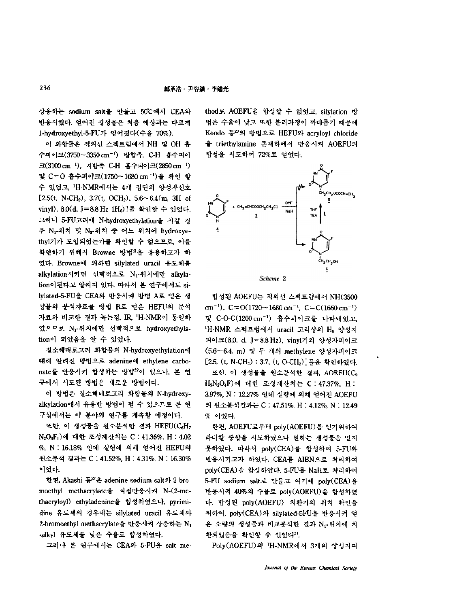상응하는 sodium salt을 만들고 50℃에서 CEA와 반응시켰다. 얻어진 생성물은 처음 예상과는 다르게 1-hydroxyethyl-5-FU가 얻어쳤다(수율 70%).

이 화합물은 적외선 스펙트럼에서 NH 및 OH 홈 수피이크(3750~3350 cm<sup>-1</sup>) 방향족, C-H 흡수피이 크(3100 cm<sup>-1</sup>), 지방족 C-H 흡수피이크(2850 cm<sup>-1)</sup> 및 C=0 흡수피이크(1750~1680 cm<sup>-1</sup>)을 확인 할 수 있었고, 'H-NMR에서는 4개 집단의 양성자신호 [2.5(t, N-CH<sub>2</sub>), 3.7(t, OCH<sub>2</sub>), 5.6~6.4(m, 3H of vinyl), 8.0(d, J=8.8 Hz 1H<sub>6</sub>)]를 확인할 수 있었다. 그러나 5-FU고리에 N-hydroxyethylation을 시킬 경 우 N<sub>1</sub>-위치 및 N<sub>3</sub>-위치 중 어느 위치에 hydroxyethyl기가 도입되었는가를 확인할 수 없으므로, 이를 확인하기 위해서 Browne 방법21을 응용하고자 하 였다. Browne에 의하면 silylated uracil 유도체를 alkylation시키면 선택적으로 Nr-위치에만 alkylation이된다고 알려져 있다. 따라서 본 연구에서도 silylated-5-FU을 CEA와 반응시켜 방법 A로 얻은 생 성물의 분석자료를 방법 B로 얻은 HEFU의 분석 자료와 비교한 결과 녹는점, IR, 'H-NMR이 동일하 였으므로 Nr위치에만 선택적으로 hydroxyethylation이 되었음을 알 수 있었다.

질소헤테로고리 화합물의 N-hydroxyethylation 대해 알려진 방법으로 adenine에 ethylene carbonate를 반응시켜 합성하는 방법22이 있으나, 본 연 구에서 시도된 방법은 새로운 방법이다.

방법은 질소헤테로고리 화합물의 N-hydroxyalkylation에서 유용한 방법이 될 수 있으므로 본 연 구실에서는 이 분야의 연구를 계속할 예정이다.

또한, 이 생성물을 원소분석한 결과 HEFU(C6H7 N2O3F1) 대한 조성계산치는 C : 41.36%, H : 4.02 %, N : 16.18% 인데 실험에 의해 얻어진 HEFU의 원소분석 결과는 C : 41.52%, H : 4.31%, N : 16.30% 이었다.

한편, Akashi 동<sup>22</sup>은 adenine sodium salt와 2-bromoethyl methacrylate 직접반응시켜 N-(2-methacryloyl) ethyladenine 합성하였으나, pyrimidine 유도체의 경우에는 silylated uracil 유도체와 2-bromoethyl methacrylate을 반응시켜 상응하는 N<sub>1</sub> -alkyl 유도체를 낮은 수율로 합성하였다.

그러나 본 연구에서는 CEA와 5-FU을 salt me-

thod로 AOEFU을 합성할 수 없었고, silylation 방 법은 수율이 낮고 또한 분리과정이 까다롭기 때문에 Kondo 등<sup>23</sup>의 방법으로 HEFU와 acryloyl chloride 을 triethylamine 존재하에서 반응시켜 AOEFU의 합성을 시도하여 72%로 얻었다.



합성된 AOEFU는 적외선 스펙트럼에서 NH(3500 cm<sup>-1</sup>),  $C = O(1720 \sim 1680 \text{ cm}^{-1}$ ,  $C = C(1660 \text{ cm}^{-1})$ 및 C-O-C(1200 cm") 흡수피이크를 나타내었고, iH-NMR 스펙트럼에서 uracil 고리상의 H<sup>6</sup> 양성자 피이크(8.0, d, J=8.8Hz), vinyl기의 양성자피이크 (5.6~6.4, m) 및 두 개의 methylene 양성자피이크 [2.5, (t, N-CH2) 3.7, (t, O-CH2)]들을 확인하였다. 또한, 이 생성물을 원소분석한 결과, AOEFU(C, H,N<sub>2</sub>O<sub>4</sub>F)에 대한 조성계산치는 C : 47.37%, H : 3.97%, N : 12.27% 인데 실험에 의해 얻어진 AOEFU 원소분석 결과는 C : 47.51%, H : 4.12%, N : 12.49 % 이었다.

한편, AOEFU로부터 poly(AOEFU) 얻기위하여 라디칼 중합을 시도하였으나 원하는 생성물을 얻지 못하였다. 따라서 poly(CEA)를 합성하여 5-FU와 반응시키고자 하였다. CEA를 AIBN으로 처리하여 poly(CEA)을 합성하였다. 5-FU를 NaH로 처리하여 5-FU sodium salt로 만들고 여기에 poly(CEA)을 반응시켜 40%의 수율로 poly(AOEFU)을 합성하였 . 합성된 poly(AOEFU) 치환기의 위치 확인을 위하여, poly(CEA)와 silylated-5FU을 반응시켜 얻 은 소량의 생성물과 비교분석한 결과 Ni-위치에 치 환되었음을 확인할 수 있었다<sup>?!</sup>.

Poly(AOEFU)의 'H-NMR에서 3개의 양성자피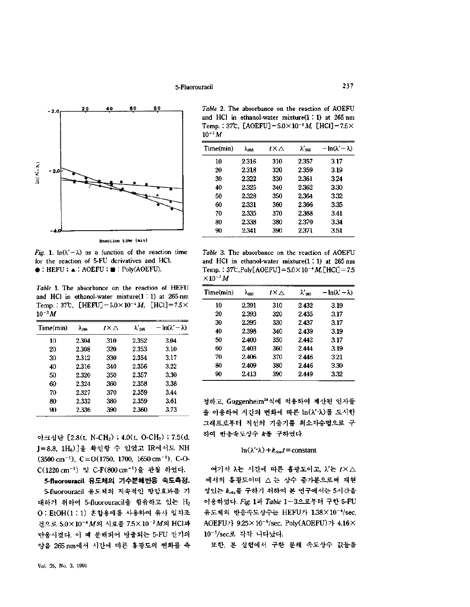# 5-Fluorouracil 237



**Reaction time (min)**

*Fig.* 1.  $ln(\lambda' - \lambda)$  as a function of the reaction time for the reaction of 5-FU derivatives and HC1.  $\bullet$ : HEFU :  $\bullet$ : AOEFU :  $\bullet$  : Poly(AOEFU).

*Table* 1. The absorbance on the reaction of HEFU and HC1 in ethanol-water mixture(l : 1) at 265 nm Table 1. The absorbance on the reaction of HEFU<br>and HCl in ethanol-water mixture(1 : 1) at 265 nm<br>Temp. : 37°C, [HEFU] =  $5.0 \times 10^{-4} M$ , [HCl] =  $7.5 \times 10^{-3} M$  $10^{-3}\,M$ 

| Time(min) | $\lambda_{255}$ | t×∆ | $\lambda'{}_{265}$ | $-\ln(\lambda'-\lambda)$ |
|-----------|-----------------|-----|--------------------|--------------------------|
| 10        | 2.304           | 310 | 2.352              | 3.04                     |
| 20        | 2.308           | 320 | 2.353              | 3.10                     |
| 30        | 2.312           | 330 | 2.354              | 3.17                     |
| 40        | 2.316           | 340 | 2.356              | 3.22                     |
| 50        | 2.320           | 350 | 2.357              | 3.30                     |
| 60        | 2.324           | 360 | 2.358              | 3.38                     |
| 70        | 2.327           | 370 | 2.359              | 3.44                     |
| 80        | 2.332           | 380 | 2.359              | 3.61                     |
| 90        | 2.336           | 390 | 2.360              | 3.73                     |

이크집단 [2.8(t, N-CH<sub>2</sub>) ; 4.0(t, O-CH<sub>2</sub>) ; 7.5(d, J=8.8, 1H. ) ]을 확인할 수 있었고 IR에서도 NH  $(3500 \text{ cm}^{-1})$ , C = O $(1750, 1700, 1650 \text{ cm}^{-1})$ , C-O-C(1220 cm<sup>-1</sup>) 및 C-F(800 cm<sup>-1</sup>)을 관찰 하였다.

**5-fluorouracil** 유도체의 가수분해반응 속도측정. 5-fluorouracil 유도체의 지속적인 항암효과를 대하기 위하여 5-fluorouracil을 함유하고 있는 H<sub>2</sub> : EtOH(l : 1) 혼합용매를 사용하여 유사 일차조 건으로 5.0×10<sup>-4</sup> M의 시료를 7.5×10<sup>-2</sup> M의 HCl과 반응시켰다. 이 때 분해되어 방출되는 5-FU 잔기의 양을 265 nm에서 시간에 따른 흡광도의 변화를 측

*Table* 2. The absorbance on the reaction of AOEFU and HCl in ethanol-water mixture $(1:1)$  at 265 nm Temp.: 37°C, [AOEFU] =  $5.0 \times 10^{-4}$  M, [HCl] =  $7.5 \times$ *W~3M*

| Time(min) | $\lambda_{265}$ | tΧΛ | λ' xe | $-\ln(\lambda'-\lambda)$ |
|-----------|-----------------|-----|-------|--------------------------|
| 10        | 2.316           | 310 | 2.357 | 3.17                     |
| 20        | 2.318           | 320 | 2.359 | 3.19                     |
| 30        | 2.322           | 330 | 2.361 | 3.24                     |
| 40        | 2.325           | 340 | 2.362 | 3.30                     |
| 50        | 2.328           | 350 | 2.364 | 3.32                     |
| 60        | 2.331           | 360 | 2.366 | 3.35                     |
| 70        | 2.335           | 370 | 2.368 | 3.41                     |
| 80        | 2.338           | 380 | 2.370 | 3.34                     |
| 90        | 2.341           | 390 | 2.371 | 3.51                     |
|           |                 |     |       |                          |

*Table* 3. The absorbance on the reaction of AOEFU and HCl in ethanol-water mixture $(1:1)$  at 265 nm Temp.:  $37^{\circ}$ C,Poly[AOEFU] =  $5.0 \times 10^{-4}$  M, [HCl] = 7.5  $\times$ 10<sup>-3</sup> $M$ 

| Time(min) | $\lambda_{265}$ | t×∆ | λ'265 | <u>– In(λ' – λ)</u> |
|-----------|-----------------|-----|-------|---------------------|
| 10        | 2.391           | 310 | 2.432 | 3.19                |
| 20        | 2.393           | 320 | 2.435 | 3.17                |
| 30        | 2.395           | 330 | 2.437 | 3.17                |
| 40        | 2.398           | 340 | 2.439 | 3.19                |
| 50        | 2.400           | 350 | 2.442 | 3.17                |
| 60        | 2.403           | 360 | 2.444 | 3.19                |
| 70        | 2.406           | 370 | 2.446 | 3.21                |
| 80        | 2.409           | 380 | 2.446 | 3.30                |
| 90        | 2.413           | 390 | 2.449 | 3.32                |
|           |                 |     |       |                     |

정하고, Guggenheim24식에 적용하여 계산된 인자들 을 이용하여 시간의 변화에 따른 ln( $\lambda'$ - $\lambda$ )를 도시한 그래프로부터 직선의 기울기를 최소자승법으로 하여 반응속도상수 k를 구하였다.

#### $\ln(\lambda' \lambda) + k_{obs}t = constant$

여기서 入는 시간에 따른 흡광도이고, *V. t'* 에서의 흡광도이며 상수 증가분으로써 재현 성있는  $k_{obs}$ 를 구하기 위하여 본 연구에서는 5시간을 이용하였다. *Fig.* 1 *Table* 1~3으로부터 구한 5-FU 유도체의 반응속도상수는 HEFU가 1.38×10<sup>-4</sup>/sec, AOEFU7}  $9.25 \times 10^{-5}$ /sec, Poly(AOEFU) 7}  $4.16 \times$  $10^{-5}/sec$ 로 각각 나타났다.

또한, 실험에서 구한 분해 속도상수 값들을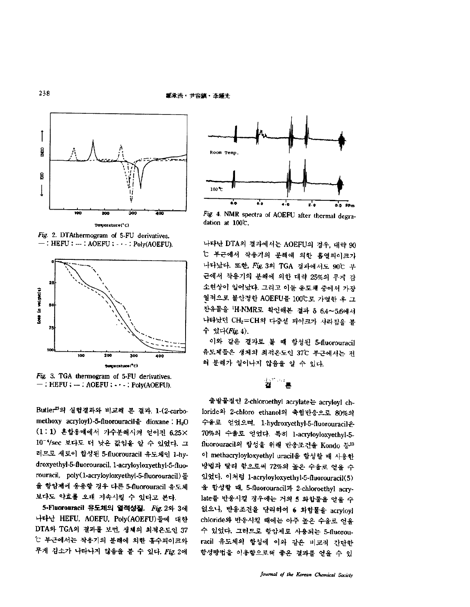

**Tenperature(\*C)**

*Fig-* 2. DTAthermogram of 5-FU derivatives.  $-$ : HEFU :  $-$ : AOEFU :  $\cdot \cdot$  - : Poly(AOEFU).



*Fig,* 3. TGA thermogram of 5-FU derivatives.  $-$ : HEFU :  $-$ : AOEFU :  $\cdots$ : Poly(AOEFU).

Butle 실험결과와 비교해 결과, L(2 carbomethoxy acryloyl)-5-fluorouracil $\frac{a}{2}$  dioxane : H<sub>2</sub>O (1 1) 혼합용매에서 가수분해시켜 얻어진 6.25X 10-4/sec 보다도 더 낮은 값임을 알 수 있었다. 그 러므로 새로이 합성된 5-fluorouracil 유도체인 1-hydroxyethyl-5-fluorouracil, l-acryloyloxyethyl-5-fluorouracil, poly(l-acryloyloxyethyl-5-fluorouracil) 항암제에 웅용할 경우 다른 5-fluorouracil 유도체 보다도 약효를 오래 지속시킬 있다고 본다.

**5-Fluorouracil** 유도체의 열적성질. *Fig.* 2 3 나타난 HEFU, AOEFU, Poly(AOEFU)들에 대한 DTA와 TGA의 결과를 보면, 생체의 최적은도인 37 t 부근에서는 작용기의 분해에 의한 흡수피이크와 무게 감소가 나타나지 않음을 볼 수 있다. Fig. 2에



Fig. 4. NMR spectra of AOEFU after thermal degradation at 100°C.

나타난 DTA의 결과에서는 AOEFU의 경우, 대략 90 *°C* 부근에서 작용기의 분해에 의한 흡열피이크가 나타났다. 또한, Fig. 3의 TGA 결과에서도 90℃ 부 근에서 작용기의 분해에 의한 대략 25%의 무게 감 소현상이 일어났다. 그리고 이들 유도체 중에서 가장 열적으로 불안정한 AOEFU를 100℃로 가열한 후 그 잔유물을 'H-NMR로 확인해본 결과 δ 6.4~5.6에서 나타났던 CH2=CH의 다중선 피이크가 사라짐을 볼 *있다(Fig.* 4).

이와 같은 결과로. 합성된 5-fluorouracil 유도체들은 생체의 최적은도인 37℃ 부근에서는 전 쳐 분해가 일어나지 않음을 알 수 있다.

# ż.

출발물질인 2-chloroethyl acrylate acryloyl chloride와 2-chloro ethanol의 축합반응으로 80%의 수율로 얻었으며, Lhydroxyethyl-5-fluorouracil 70% 수율로 얻었다. 특히 l-acryloyloxyethyl-5 fluorouracil의 합성을 위해 반응조건을 Kondo 등23 이 methacryloyloxyethyl uracil을 합성할 때 사용한 방법과 달리 합으로써 72%의 높은 수율로 얻을 수 있었다. 이처럼 l acryloyloxyethyl-5-fhiorouracil(5) 울 합성할 때, 5-fluorouracil과 2-chloroethyl acrylate 반웅시킬 경우에는 거의 **5** 화합물을 얻을 없으나, 반웅조건을 달리하여 **6** 화합물을 acryloyl chloride 반응시킬 때에는 아주 *높은* 수율로 얻을 있었다. 그러므로 항암제로 사용되는 5-fluorouracil 유도체의 합성에 이와 같은 비교적 간단한 합성방법을 이용함으로써 좋은 결과를 얻을 수 있